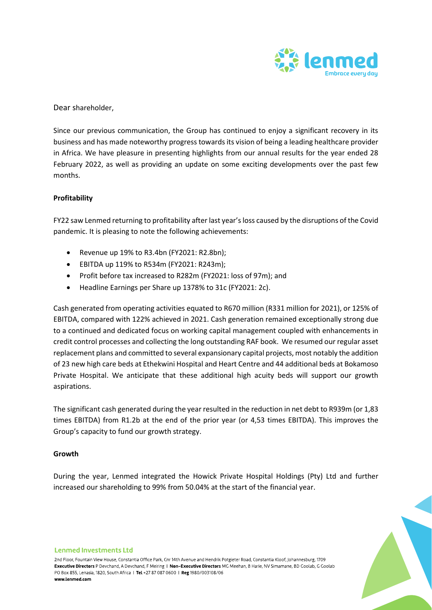

Dear shareholder,

Since our previous communication, the Group has continued to enjoy a significant recovery in its business and has made noteworthy progress towards its vision of being a leading healthcare provider in Africa. We have pleasure in presenting highlights from our annual results for the year ended 28 February 2022, as well as providing an update on some exciting developments over the past few months.

# **Profitability**

FY22 saw Lenmed returning to profitability after last year's loss caused by the disruptions of the Covid pandemic. It is pleasing to note the following achievements:

- Revenue up 19% to R3.4bn (FY2021: R2.8bn);
- EBITDA up 119% to R534m (FY2021: R243m);
- Profit before tax increased to R282m (FY2021: loss of 97m); and
- Headline Earnings per Share up 1378% to 31c (FY2021: 2c).

Cash generated from operating activities equated to R670 million (R331 million for 2021), or 125% of EBITDA, compared with 122% achieved in 2021. Cash generation remained exceptionally strong due to a continued and dedicated focus on working capital management coupled with enhancements in credit control processes and collecting the long outstanding RAF book. We resumed our regular asset replacement plans and committed to several expansionary capital projects, most notably the addition of 23 new high care beds at Ethekwini Hospital and Heart Centre and 44 additional beds at Bokamoso Private Hospital. We anticipate that these additional high acuity beds will support our growth aspirations.

The significant cash generated during the year resulted in the reduction in net debt to R939m (or 1,83 times EBITDA) from R1.2b at the end of the prior year (or 4,53 times EBITDA). This improves the Group's capacity to fund our growth strategy.

# **Growth**

During the year, Lenmed integrated the Howick Private Hospital Holdings (Pty) Ltd and further increased our shareholding to 99% from 50.04% at the start of the financial year.



2nd Floor, Fountain View House, Constantia Office Park, Cnr 14th Avenue and Hendrik Potgieter Road, Constantia Kloof, Johannesburg, 1709 Executive Directors P Devchand, A Devchand, F Meiring | Non-Executive Directors MG Meehan, B Harie, NV Simamane, BD Goolab, G Goolab PO Box 855, Lenasia, 1820, South Africa | Tel +27 87 087 0600 | Reg 1980/003108/06 www.lenmed.com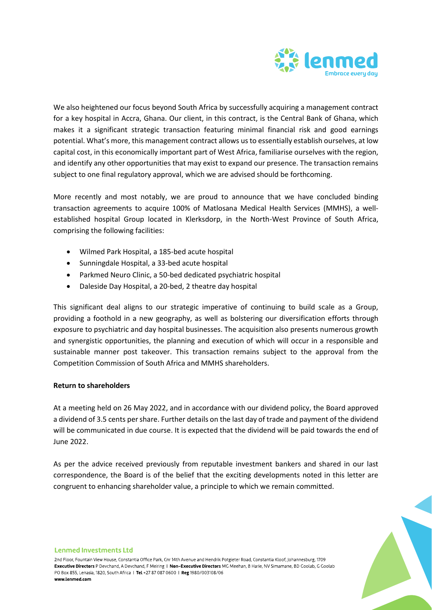

We also heightened our focus beyond South Africa by successfully acquiring a management contract for a key hospital in Accra, Ghana. Our client, in this contract, is the Central Bank of Ghana, which makes it a significant strategic transaction featuring minimal financial risk and good earnings potential. What's more, this management contract allows us to essentially establish ourselves, at low capital cost, in this economically important part of West Africa, familiarise ourselves with the region, and identify any other opportunities that may exist to expand our presence. The transaction remains subject to one final regulatory approval, which we are advised should be forthcoming.

More recently and most notably, we are proud to announce that we have concluded binding transaction agreements to acquire 100% of Matlosana Medical Health Services (MMHS), a wellestablished hospital Group located in Klerksdorp, in the North-West Province of South Africa, comprising the following facilities:

- Wilmed Park Hospital, a 185-bed acute hospital
- Sunningdale Hospital, a 33-bed acute hospital
- Parkmed Neuro Clinic, a 50-bed dedicated psychiatric hospital
- Daleside Day Hospital, a 20-bed, 2 theatre day hospital

This significant deal aligns to our strategic imperative of continuing to build scale as a Group, providing a foothold in a new geography, as well as bolstering our diversification efforts through exposure to psychiatric and day hospital businesses. The acquisition also presents numerous growth and synergistic opportunities, the planning and execution of which will occur in a responsible and sustainable manner post takeover. This transaction remains subject to the approval from the Competition Commission of South Africa and MMHS shareholders.

# **Return to shareholders**

At a meeting held on 26 May 2022, and in accordance with our dividend policy, the Board approved a dividend of 3.5 cents per share. Further details on the last day of trade and payment of the dividend will be communicated in due course. It is expected that the dividend will be paid towards the end of June 2022.

As per the advice received previously from reputable investment bankers and shared in our last correspondence, the Board is of the belief that the exciting developments noted in this letter are congruent to enhancing shareholder value, a principle to which we remain committed.



#### **Lenmed Investments Ltd**

2nd Floor, Fountain View House, Constantia Office Park, Cnr 14th Avenue and Hendrik Potgieter Road, Constantia Kloof, Johannesburg, 1709 Executive Directors P Devchand, A Devchand, F Meiring | Non-Executive Directors MG Meehan, B Harie, NV Simamane, BD Goolab, G Goolab PO Box 855, Lenasia, 1820, South Africa | Tel +27 87 087 0600 | Reg 1980/003108/06 www.lenmed.com